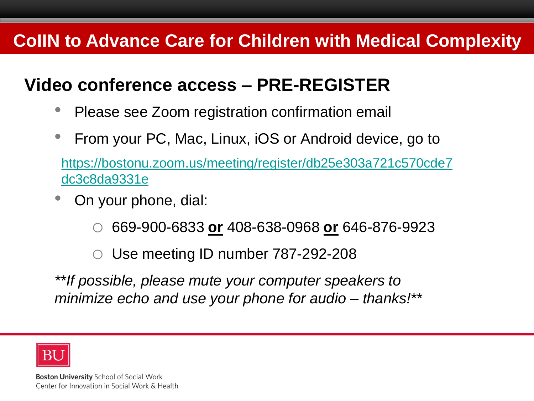### **Video conference access – PRE-REGISTER**

- Please see Zoom registration confirmation email
- From your PC, Mac, Linux, iOS or Android device, go to

[https://bostonu.zoom.us/meeting/register/db25e303a721c570cde7](https://bostonu.zoom.us/meeting/register/db25e303a721c570cde7dc3c8da9331e) dc3c8da9331e

- On your phone, dial:
	- o 669-900-6833 **or** 408-638-0968 **or** 646-876-9923

 $\circ$  Use meeting ID number 787-292-208

*\*\*If possible, please mute your computer speakers to minimize echo and use your phone for audio – thanks!\*\**

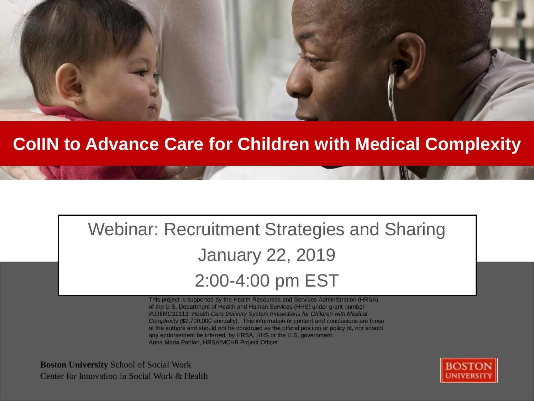

## Webinar: Recruitment Strategies and Sharing January 22, 2019 2:00-4:00 pm EST

This project is supported by the Health Resources and Services Administration (HRSA) of the U.S. Department of Health and Human Services (HHS) under grant number #UJ6MC31113: *Health Care Delivery System Innovations for Children with Medical Complexity* (\$2,700,000 annually). This information or content and conclusions are those of the authors and should not be construed as the official position or policy of, nor should any endorsement be inferred, by HRSA, HHS or the U.S. government. Anna Maria Padlan, HRSA/MCHB Project Officer

**Boston University** School of Social Work **Boston University** School of Social Work Center for Innovation in Social Work & Health Center for Innovation in Social Work & Health

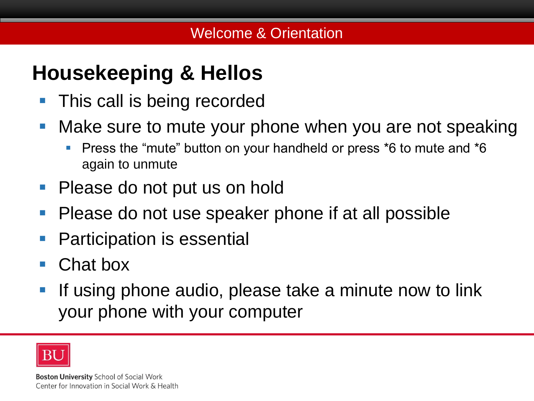## **Housekeeping & Hellos**

- **This call is being recorded**
- **Make sure to mute your phone when you are not speaking** 
	- **Press the "mute" button on your handheld or press \*6 to mute and \*6** again to unmute
- Please do not put us on hold
- **Please do not use speaker phone if at all possible**
- **Participation is essential**
- Chat box
- **If using phone audio, please take a minute now to link** your phone with your computer

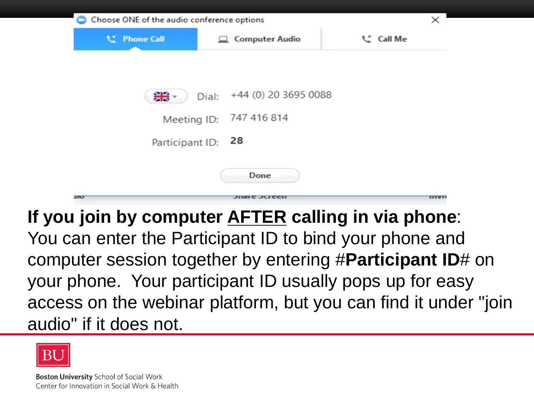| Choose ONE of the audio conference options |       |                         | $\times$                                            |
|--------------------------------------------|-------|-------------------------|-----------------------------------------------------|
| <b>L'</b> Phone Call                       |       | <b>Computer Audio</b>   | C Call Me                                           |
|                                            |       |                         |                                                     |
|                                            |       |                         |                                                     |
| ∺∺                                         | Dial: | +44 (0) 20 3695 0088    |                                                     |
|                                            |       | Meeting ID: 747 416 814 |                                                     |
|                                            |       |                         |                                                     |
| Participant ID: 28                         |       |                         |                                                     |
|                                            |       |                         |                                                     |
|                                            |       | Done                    |                                                     |
| <b>HILL</b>                                |       |                         |                                                     |
|                                            |       |                         | If you join by computer AFTER calling in via phone: |

You can enter the Participant ID to bind your phone and computer session together by entering #**Participant ID**# on your phone. Your participant ID usually pops up for easy access on the webinar platform, but you can find it under "join audio" if it does not.

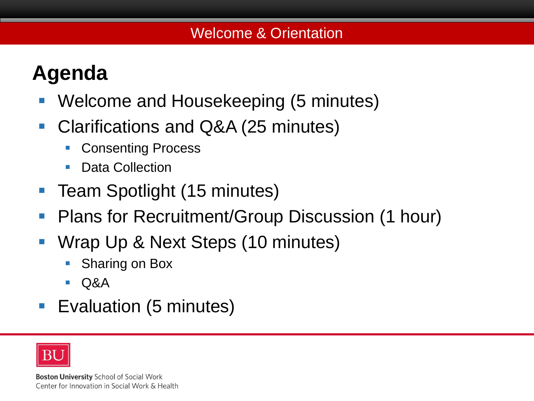# **Agenda**

- **Boston University Coes Title Goes Fields** Welcome and Housekeeping (5 minutes)
- Clarifications and Q&A (25 minutes)
	- Consenting Process
	- Data Collection
- **Team Spotlight (15 minutes)**
- **Plans for Recruitment/Group Discussion (1 hour)**
- Wrap Up & Next Steps (10 minutes)
	- Sharing on Box
	- $\blacksquare$   $\Omega$
- **Exaluation (5 minutes)**

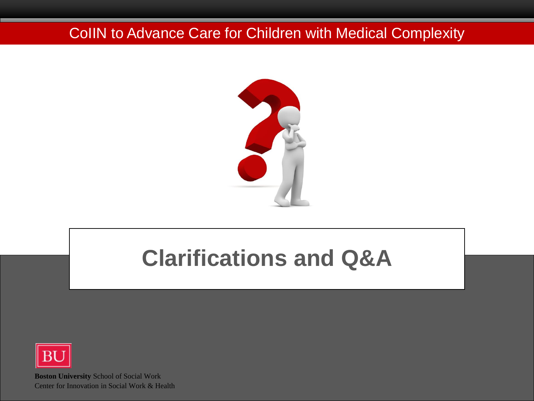

# **Clarifications and Q&A**

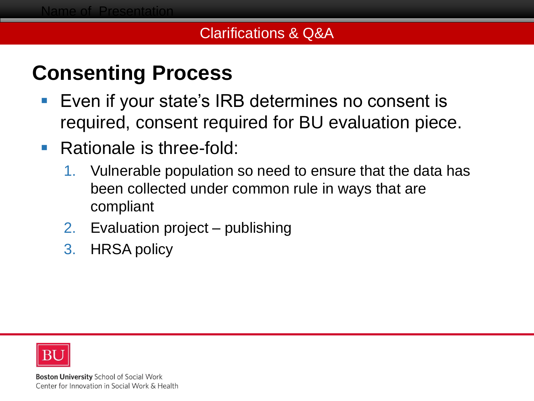#### Clarifications & Q&A

## **Consenting Process**

- **Boston Even if your state's IRB determines no consent is** required, consent required for BU evaluation piece.
- Rationale is three-fold:
	- 1. Vulnerable population so need to ensure that the data has been collected under common rule in ways that are compliant
	- 2. Evaluation project publishing
	- 3. HRSA policy

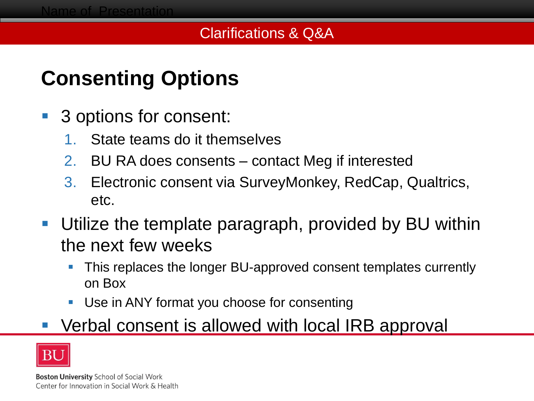## **Consenting Options**

- 3 options for consent:
	- 1. State teams do it themselves
	- 2. BU RA does consents contact Meg if interested
	- 3. Electronic consent via SurveyMonkey, RedCap, Qualtrics, etc.
- Utilize the template paragraph, provided by BU within the next few weeks
	- This replaces the longer BU-approved consent templates currently on Box
	- Use in ANY format you choose for consenting

### Verbal consent is allowed with local IRB approval

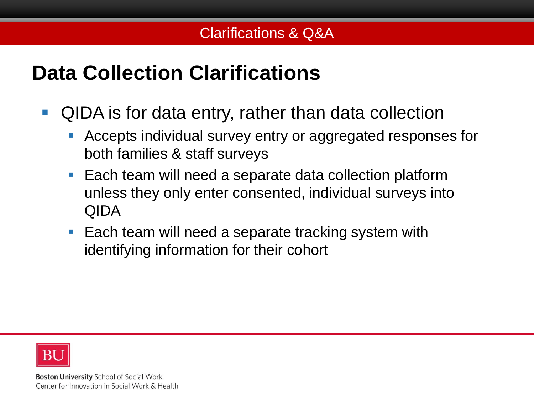## **Data Collection Clarifications**

- QIDA is for data entry, rather than data collection
	- Accepts individual survey entry or aggregated responses for both families & staff surveys
	- Each team will need a separate data collection platform unless they only enter consented, individual surveys into QIDA
	- **Each team will need a separate tracking system with** identifying information for their cohort

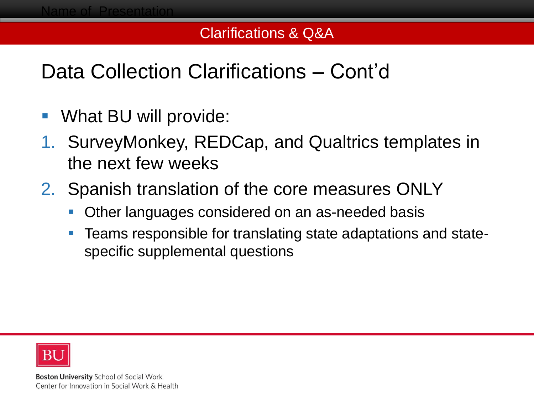#### Clarifications & Q&A

## Data Collection Clarifications – Cont'd

- What BU will provide:
- 1. SurveyMonkey, REDCap, and Qualtrics templates in the next few weeks
- 2. Spanish translation of the core measures ONLY
	- **Other languages considered on an as-needed basis**
	- Teams responsible for translating state adaptations and statespecific supplemental questions

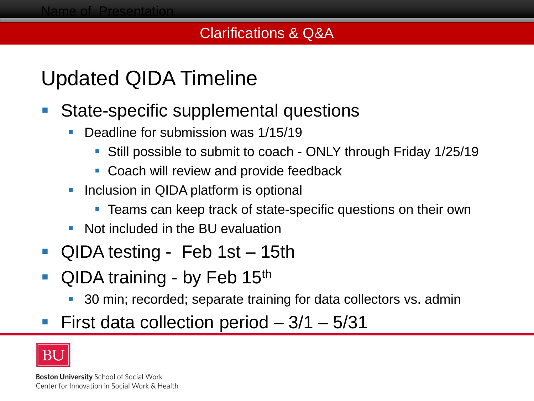#### Clarifications & Q&A

## Updated QIDA Timeline

- State-specific supplemental questions
	- Deadline for submission was 1/15/19
		- Still possible to submit to coach ONLY through Friday 1/25/19
		- **Coach will review and provide feedback**
	- **Inclusion in QIDA platform is optional** 
		- **Teams can keep track of state-specific questions on their own**
	- Not included in the BU evaluation
- QIDA testing Feb 1st 15th
- QIDA training by Feb 15th
	- 30 min; recorded; separate training for data collectors vs. admin
- First data collection period 3/1 5/31

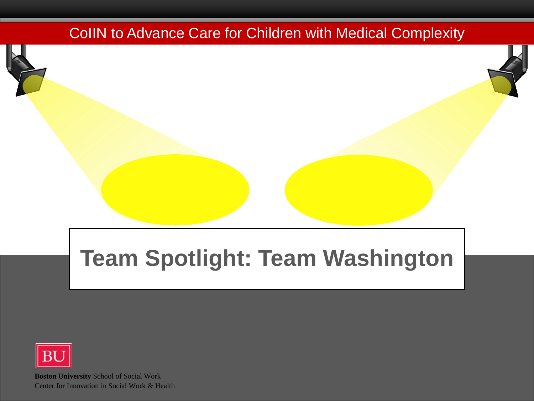# **Team Spotlight: Team Washington**

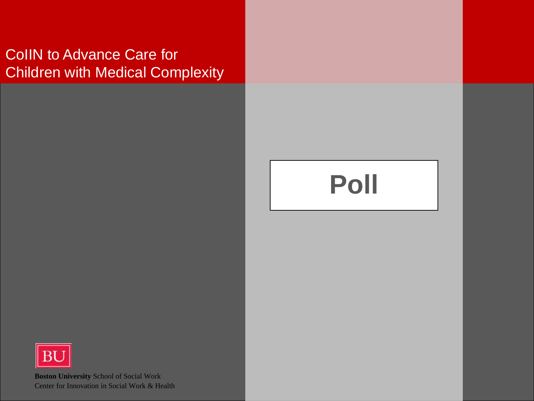# **Poll**

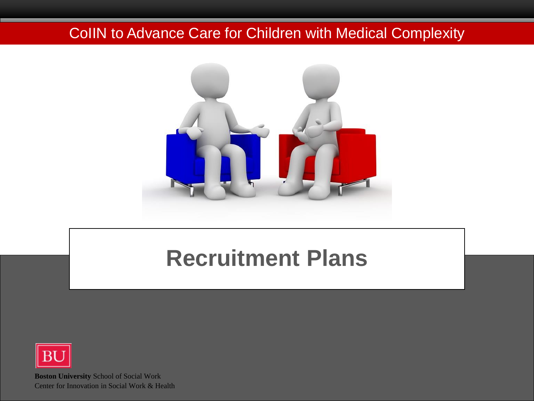

# **Recruitment Plans**

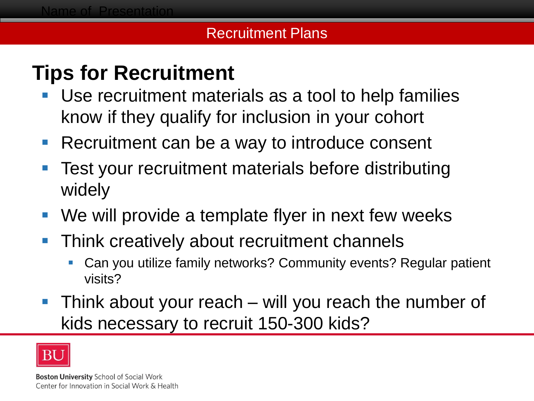#### Recruitment Plans

## **Tips for Recruitment**

- **Boston Use recruitment materials as a tool to help families** know if they qualify for inclusion in your cohort
- Recruitment can be a way to introduce consent
- Test your recruitment materials before distributing widely
- We will provide a template flyer in next few weeks
- Think creatively about recruitment channels
	- Can you utilize family networks? Community events? Regular patient visits?
- Think about your reach will you reach the number of kids necessary to recruit 150-300 kids?

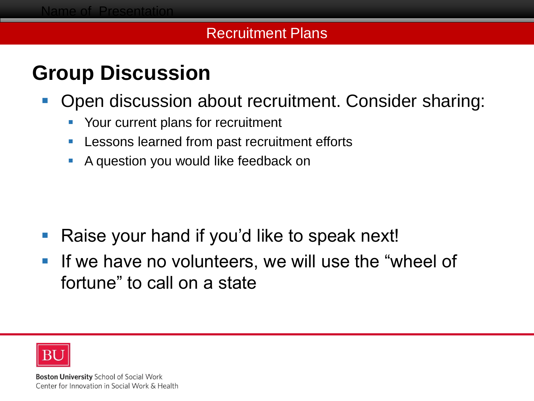#### Recruitment Plans

## **Group Discussion**

- **Diam Discussion about recruitment. Consider sharing:** 
	- **Your current plans for recruitment**
	- **Lessons learned from past recruitment efforts**
	- A question you would like feedback on

- Raise your hand if you'd like to speak next!
- If we have no volunteers, we will use the "wheel of fortune" to call on a state

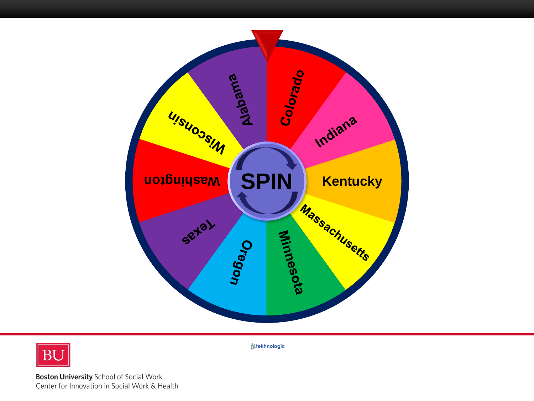



**tekhnologic**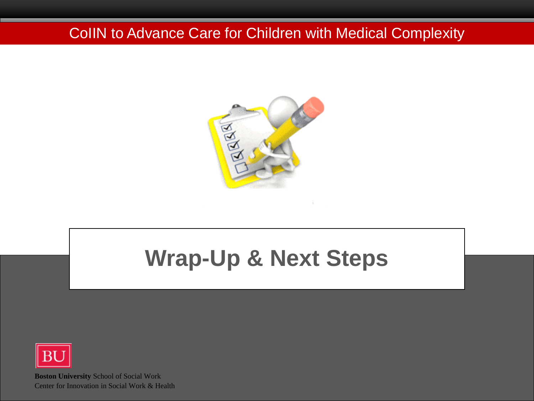

# **Wrap-Up & Next Steps**

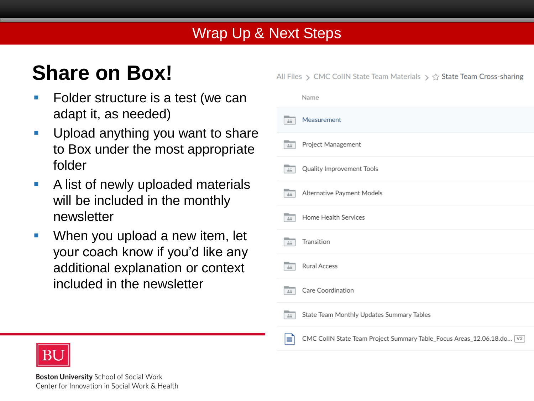# **Share on Box!**

- **Boshider structure is a test (we can** adapt it, as needed)
- **Upload anything you want to share** to Box under the most appropriate folder
- **A list of newly uploaded materials** will be included in the monthly newsletter
- **When you upload a new item, let** your coach know if you'd like any additional explanation or context included in the newsletter

All Files > CMC CollN State Team Materials >  $\hat{C}$  State Team Cross-sharing

|                         | Name                                                                    |
|-------------------------|-------------------------------------------------------------------------|
| $\triangle\hat{n}$      | Measurement                                                             |
| $\triangleq \triangleq$ | Project Management                                                      |
| $\triangleq \triangleq$ | Quality Improvement Tools                                               |
| $\triangleq\hat{n}$     | Alternative Payment Models                                              |
| $\triangleq$            | Home Health Services                                                    |
| $\triangleq\hat{n}$     | Transition                                                              |
| $\triangleq \triangleq$ | <b>Rural Access</b>                                                     |
| $\triangleq \triangleq$ | Care Coordination                                                       |
| $\triangleq$            | State Team Monthly Updates Summary Tables                               |
| ≣                       | CMC CollN State Team Project Summary Table_Focus Areas_12.06.18.do [V2] |

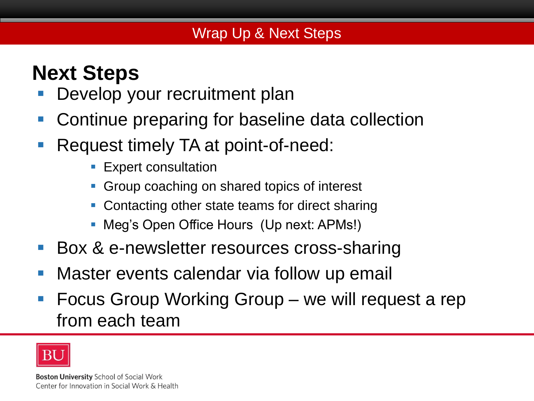## **Next Steps**

- **Boston Slides** Develop your recruitment plan
- Continue preparing for baseline data collection
- Request timely TA at point-of-need:
	- **Expert consultation**
	- **Group coaching on shared topics of interest**
	- Contacting other state teams for direct sharing
	- Meg's Open Office Hours (Up next: APMs!)
- Box & e-newsletter resources cross-sharing
- **Naster events calendar via follow up email**
- **Fig. 5 Focus Group Working Group we will request a rep** from each team

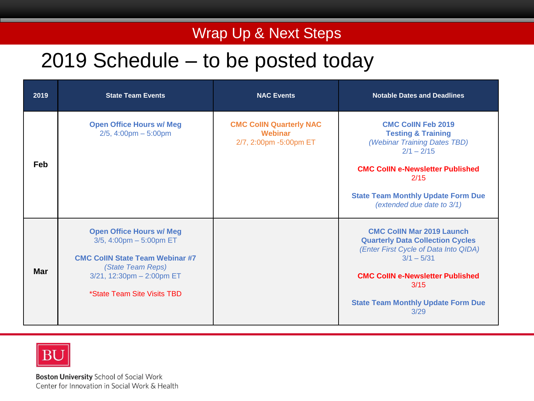### Wrap Up & Next Steps

### 2019 Schedule – to be posted today

| 2019       | <b>State Team Events</b>                                                                                                                                                                   | <b>NAC Events</b>                                                   | <b>Notable Dates and Deadlines</b>                                                                                                                                                                                                           |
|------------|--------------------------------------------------------------------------------------------------------------------------------------------------------------------------------------------|---------------------------------------------------------------------|----------------------------------------------------------------------------------------------------------------------------------------------------------------------------------------------------------------------------------------------|
| Feb        | <b>Open Office Hours w/ Meg</b><br>$2/5$ , 4:00pm - 5:00pm                                                                                                                                 | <b>CMC CollN Quarterly NAC</b><br>Webinar<br>2/7, 2:00pm -5:00pm ET | <b>CMC CollN Feb 2019</b><br><b>Testing &amp; Training</b><br>(Webinar Training Dates TBD)<br>$2/1 - 2/15$<br><b>CMC CollN e-Newsletter Published</b><br>2/15<br><b>State Team Monthly Update Form Due</b><br>(extended due date to 3/1)     |
| <b>Mar</b> | <b>Open Office Hours w/ Meg</b><br>$3/5$ , 4:00pm $-5:00$ pm ET<br><b>CMC CollN State Team Webinar #7</b><br>(State Team Reps)<br>3/21, 12:30pm - 2:00pm ET<br>*State Team Site Visits TBD |                                                                     | <b>CMC CollN Mar 2019 Launch</b><br><b>Quarterly Data Collection Cycles</b><br>(Enter First Cycle of Data Into QIDA)<br>$3/1 - 5/31$<br><b>CMC CollN e-Newsletter Published</b><br>3/15<br><b>State Team Monthly Update Form Due</b><br>3/29 |